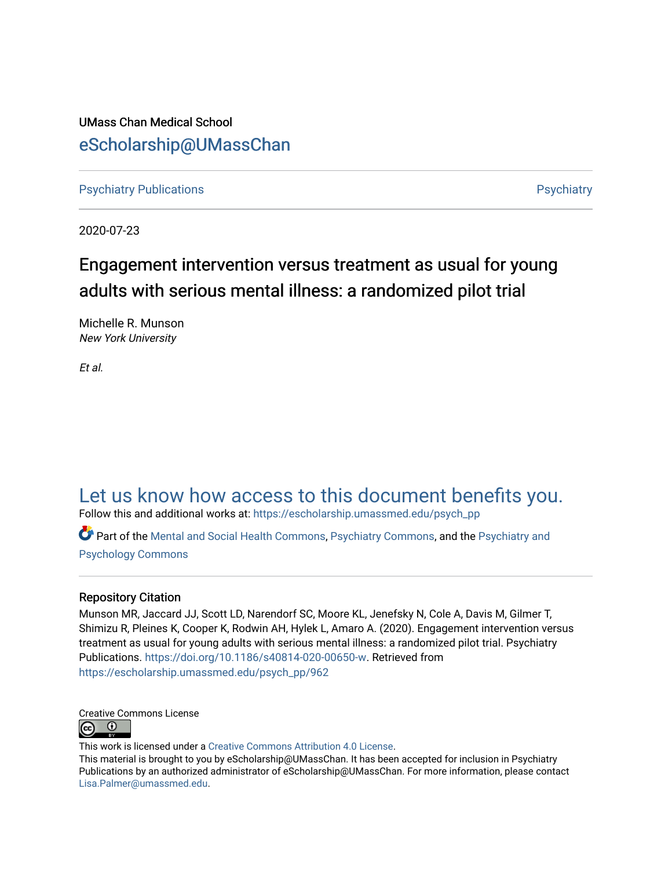UMass Chan Medical School [eScholarship@UMassChan](https://escholarship.umassmed.edu/) 

[Psychiatry Publications](https://escholarship.umassmed.edu/psych_pp) **Provides** [Psychiatry](https://escholarship.umassmed.edu/psychiatry) Publications **Psychiatry** 

2020-07-23

# Engagement intervention versus treatment as usual for young adults with serious mental illness: a randomized pilot trial

Michelle R. Munson New York University

Et al.

# [Let us know how access to this document benefits you.](https://arcsapps.umassmed.edu/redcap/surveys/?s=XWRHNF9EJE)

Follow this and additional works at: [https://escholarship.umassmed.edu/psych\\_pp](https://escholarship.umassmed.edu/psych_pp?utm_source=escholarship.umassmed.edu%2Fpsych_pp%2F962&utm_medium=PDF&utm_campaign=PDFCoverPages) 

Part of the [Mental and Social Health Commons,](http://network.bepress.com/hgg/discipline/709?utm_source=escholarship.umassmed.edu%2Fpsych_pp%2F962&utm_medium=PDF&utm_campaign=PDFCoverPages) [Psychiatry Commons](http://network.bepress.com/hgg/discipline/704?utm_source=escholarship.umassmed.edu%2Fpsych_pp%2F962&utm_medium=PDF&utm_campaign=PDFCoverPages), and the [Psychiatry and](http://network.bepress.com/hgg/discipline/908?utm_source=escholarship.umassmed.edu%2Fpsych_pp%2F962&utm_medium=PDF&utm_campaign=PDFCoverPages) [Psychology Commons](http://network.bepress.com/hgg/discipline/908?utm_source=escholarship.umassmed.edu%2Fpsych_pp%2F962&utm_medium=PDF&utm_campaign=PDFCoverPages) 

# Repository Citation

Munson MR, Jaccard JJ, Scott LD, Narendorf SC, Moore KL, Jenefsky N, Cole A, Davis M, Gilmer T, Shimizu R, Pleines K, Cooper K, Rodwin AH, Hylek L, Amaro A. (2020). Engagement intervention versus treatment as usual for young adults with serious mental illness: a randomized pilot trial. Psychiatry Publications.<https://doi.org/10.1186/s40814-020-00650-w>. Retrieved from [https://escholarship.umassmed.edu/psych\\_pp/962](https://escholarship.umassmed.edu/psych_pp/962?utm_source=escholarship.umassmed.edu%2Fpsych_pp%2F962&utm_medium=PDF&utm_campaign=PDFCoverPages) 



This work is licensed under a [Creative Commons Attribution 4.0 License](http://creativecommons.org/licenses/by/4.0/).

This material is brought to you by eScholarship@UMassChan. It has been accepted for inclusion in Psychiatry Publications by an authorized administrator of eScholarship@UMassChan. For more information, please contact [Lisa.Palmer@umassmed.edu](mailto:Lisa.Palmer@umassmed.edu).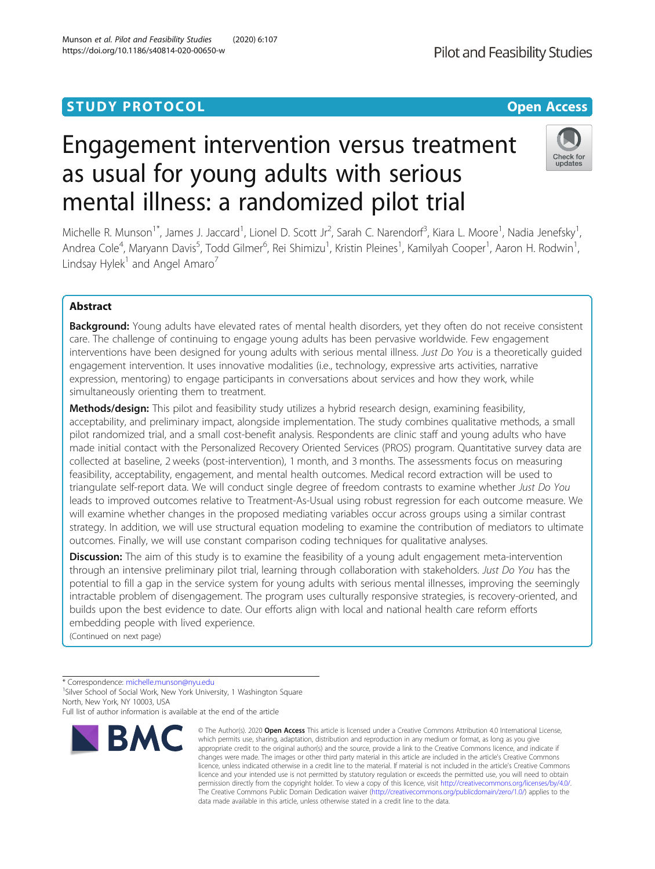# **STUDY PROTOCOL CONSUMING THE CONSUMING OPEN ACCESS**

# Engagement intervention versus treatment as usual for young adults with serious mental illness: a randomized pilot trial

Michelle R. Munson<sup>1\*</sup>, James J. Jaccard<sup>1</sup>, Lionel D. Scott Jr<sup>2</sup>, Sarah C. Narendorf<sup>3</sup>, Kiara L. Moore<sup>1</sup>, Nadia Jenefsky<sup>1</sup> , Andrea Cole<sup>4</sup>, Maryann Davis<sup>5</sup>, Todd Gilmer<sup>6</sup>, Rei Shimizu<sup>1</sup>, Kristin Pleines<sup>1</sup>, Kamilyah Cooper<sup>1</sup>, Aaron H. Rodwin<sup>1</sup> , Lindsay Hylek<sup>1</sup> and Angel Amaro<sup>7</sup>

# Abstract

Background: Young adults have elevated rates of mental health disorders, yet they often do not receive consistent care. The challenge of continuing to engage young adults has been pervasive worldwide. Few engagement interventions have been designed for young adults with serious mental illness. Just Do You is a theoretically guided engagement intervention. It uses innovative modalities (i.e., technology, expressive arts activities, narrative expression, mentoring) to engage participants in conversations about services and how they work, while simultaneously orienting them to treatment.

Methods/design: This pilot and feasibility study utilizes a hybrid research design, examining feasibility, acceptability, and preliminary impact, alongside implementation. The study combines qualitative methods, a small pilot randomized trial, and a small cost-benefit analysis. Respondents are clinic staff and young adults who have made initial contact with the Personalized Recovery Oriented Services (PROS) program. Quantitative survey data are collected at baseline, 2 weeks (post-intervention), 1 month, and 3 months. The assessments focus on measuring feasibility, acceptability, engagement, and mental health outcomes. Medical record extraction will be used to triangulate self-report data. We will conduct single degree of freedom contrasts to examine whether Just Do You leads to improved outcomes relative to Treatment-As-Usual using robust regression for each outcome measure. We will examine whether changes in the proposed mediating variables occur across groups using a similar contrast strategy. In addition, we will use structural equation modeling to examine the contribution of mediators to ultimate outcomes. Finally, we will use constant comparison coding techniques for qualitative analyses.

**Discussion:** The aim of this study is to examine the feasibility of a young adult engagement meta-intervention through an intensive preliminary pilot trial, learning through collaboration with stakeholders. Just Do You has the potential to fill a gap in the service system for young adults with serious mental illnesses, improving the seemingly intractable problem of disengagement. The program uses culturally responsive strategies, is recovery-oriented, and builds upon the best evidence to date. Our efforts align with local and national health care reform efforts embedding people with lived experience.

> © The Author(s), 2020 **Open Access** This article is licensed under a Creative Commons Attribution 4.0 International License, which permits use, sharing, adaptation, distribution and reproduction in any medium or format, as long as you give

(Continued on next page)

**RMC** 







<sup>\*</sup> Correspondence: [michelle.munson@nyu.edu](mailto:michelle.munson@nyu.edu) <sup>1</sup>

<sup>&</sup>lt;sup>1</sup>Silver School of Social Work, New York University, 1 Washington Square North, New York, NY 10003, USA

Full list of author information is available at the end of the article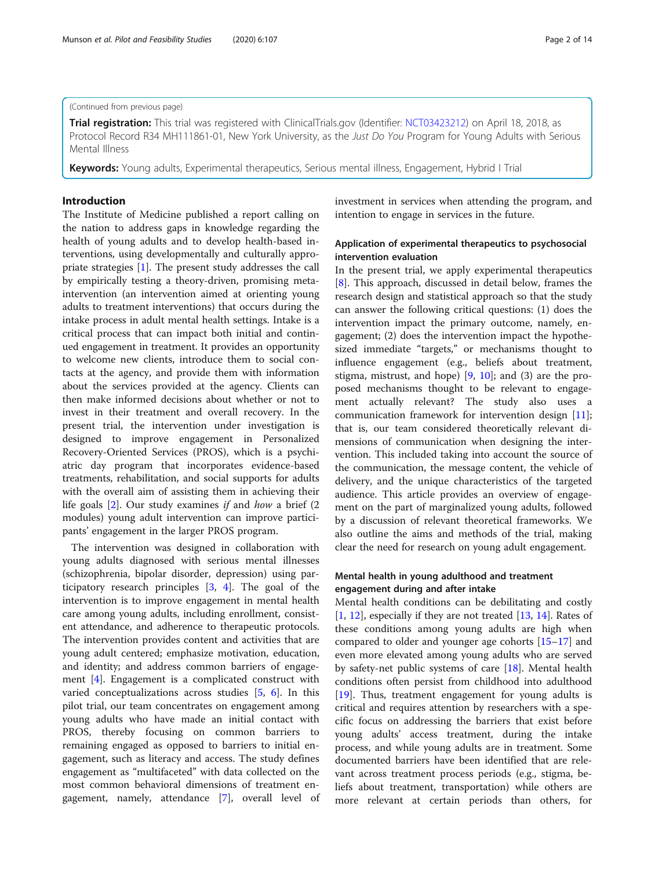#### (Continued from previous page)

Trial registration: This trial was registered with ClinicalTrials.gov (Identifier: [NCT03423212\)](http://clinicaltrials.gov/) on April 18, 2018, as Protocol Record R34 MH111861-01, New York University, as the Just Do You Program for Young Adults with Serious Mental Illness

Keywords: Young adults, Experimental therapeutics, Serious mental illness, Engagement, Hybrid I Trial

## Introduction

The Institute of Medicine published a report calling on the nation to address gaps in knowledge regarding the health of young adults and to develop health-based interventions, using developmentally and culturally appropriate strategies [[1\]](#page-13-0). The present study addresses the call by empirically testing a theory-driven, promising metaintervention (an intervention aimed at orienting young adults to treatment interventions) that occurs during the intake process in adult mental health settings. Intake is a critical process that can impact both initial and continued engagement in treatment. It provides an opportunity to welcome new clients, introduce them to social contacts at the agency, and provide them with information about the services provided at the agency. Clients can then make informed decisions about whether or not to invest in their treatment and overall recovery. In the present trial, the intervention under investigation is designed to improve engagement in Personalized Recovery-Oriented Services (PROS), which is a psychiatric day program that incorporates evidence-based treatments, rehabilitation, and social supports for adults with the overall aim of assisting them in achieving their life goals [[2\]](#page-13-0). Our study examines if and how a brief (2 modules) young adult intervention can improve participants' engagement in the larger PROS program.

The intervention was designed in collaboration with young adults diagnosed with serious mental illnesses (schizophrenia, bipolar disorder, depression) using participatory research principles [[3,](#page-13-0) [4\]](#page-13-0). The goal of the intervention is to improve engagement in mental health care among young adults, including enrollment, consistent attendance, and adherence to therapeutic protocols. The intervention provides content and activities that are young adult centered; emphasize motivation, education, and identity; and address common barriers of engagement [[4\]](#page-13-0). Engagement is a complicated construct with varied conceptualizations across studies [\[5](#page-13-0), [6](#page-13-0)]. In this pilot trial, our team concentrates on engagement among young adults who have made an initial contact with PROS, thereby focusing on common barriers to remaining engaged as opposed to barriers to initial engagement, such as literacy and access. The study defines engagement as "multifaceted" with data collected on the most common behavioral dimensions of treatment engagement, namely, attendance [[7\]](#page-13-0), overall level of investment in services when attending the program, and intention to engage in services in the future.

# Application of experimental therapeutics to psychosocial intervention evaluation

In the present trial, we apply experimental therapeutics [[8\]](#page-13-0). This approach, discussed in detail below, frames the research design and statistical approach so that the study can answer the following critical questions: (1) does the intervention impact the primary outcome, namely, engagement; (2) does the intervention impact the hypothesized immediate "targets," or mechanisms thought to influence engagement (e.g., beliefs about treatment, stigma, mistrust, and hope)  $[9, 10]$  $[9, 10]$  $[9, 10]$ ; and  $(3)$  are the proposed mechanisms thought to be relevant to engagement actually relevant? The study also uses a communication framework for intervention design [\[11](#page-13-0)]; that is, our team considered theoretically relevant dimensions of communication when designing the intervention. This included taking into account the source of the communication, the message content, the vehicle of delivery, and the unique characteristics of the targeted audience. This article provides an overview of engagement on the part of marginalized young adults, followed by a discussion of relevant theoretical frameworks. We also outline the aims and methods of the trial, making clear the need for research on young adult engagement.

# Mental health in young adulthood and treatment engagement during and after intake

Mental health conditions can be debilitating and costly [[1,](#page-13-0) [12\]](#page-13-0), especially if they are not treated [[13,](#page-13-0) [14\]](#page-13-0). Rates of these conditions among young adults are high when compared to older and younger age cohorts [[15](#page-13-0)–[17](#page-13-0)] and even more elevated among young adults who are served by safety-net public systems of care [[18](#page-13-0)]. Mental health conditions often persist from childhood into adulthood [[19\]](#page-13-0). Thus, treatment engagement for young adults is critical and requires attention by researchers with a specific focus on addressing the barriers that exist before young adults' access treatment, during the intake process, and while young adults are in treatment. Some documented barriers have been identified that are relevant across treatment process periods (e.g., stigma, beliefs about treatment, transportation) while others are more relevant at certain periods than others, for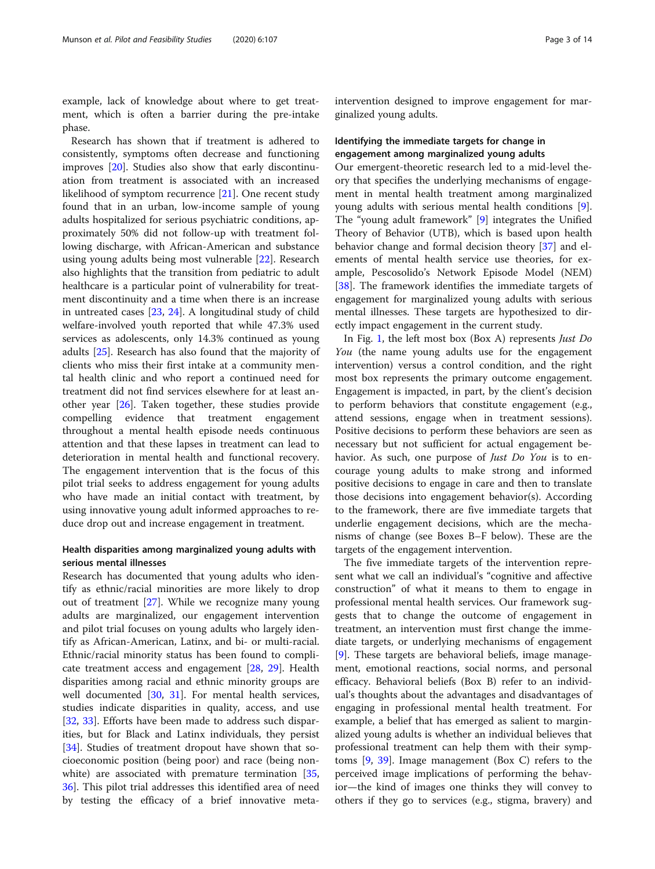example, lack of knowledge about where to get treatment, which is often a barrier during the pre-intake phase.

Research has shown that if treatment is adhered to consistently, symptoms often decrease and functioning improves [[20](#page-13-0)]. Studies also show that early discontinuation from treatment is associated with an increased likelihood of symptom recurrence [[21\]](#page-13-0). One recent study found that in an urban, low-income sample of young adults hospitalized for serious psychiatric conditions, approximately 50% did not follow-up with treatment following discharge, with African-American and substance using young adults being most vulnerable [[22\]](#page-13-0). Research also highlights that the transition from pediatric to adult healthcare is a particular point of vulnerability for treatment discontinuity and a time when there is an increase in untreated cases [[23,](#page-13-0) [24\]](#page-13-0). A longitudinal study of child welfare-involved youth reported that while 47.3% used services as adolescents, only 14.3% continued as young adults [[25\]](#page-13-0). Research has also found that the majority of clients who miss their first intake at a community mental health clinic and who report a continued need for treatment did not find services elsewhere for at least another year [[26](#page-13-0)]. Taken together, these studies provide compelling evidence that treatment engagement throughout a mental health episode needs continuous attention and that these lapses in treatment can lead to deterioration in mental health and functional recovery. The engagement intervention that is the focus of this pilot trial seeks to address engagement for young adults who have made an initial contact with treatment, by using innovative young adult informed approaches to reduce drop out and increase engagement in treatment.

# Health disparities among marginalized young adults with serious mental illnesses

Research has documented that young adults who identify as ethnic/racial minorities are more likely to drop out of treatment [\[27](#page-13-0)]. While we recognize many young adults are marginalized, our engagement intervention and pilot trial focuses on young adults who largely identify as African-American, Latinx, and bi- or multi-racial. Ethnic/racial minority status has been found to complicate treatment access and engagement [\[28](#page-13-0), [29](#page-13-0)]. Health disparities among racial and ethnic minority groups are well documented [\[30](#page-13-0), [31](#page-13-0)]. For mental health services, studies indicate disparities in quality, access, and use [[32,](#page-13-0) [33](#page-13-0)]. Efforts have been made to address such disparities, but for Black and Latinx individuals, they persist [[34\]](#page-13-0). Studies of treatment dropout have shown that socioeconomic position (being poor) and race (being non-white) are associated with premature termination [[35](#page-14-0), [36\]](#page-14-0). This pilot trial addresses this identified area of need by testing the efficacy of a brief innovative metaintervention designed to improve engagement for marginalized young adults.

## Identifying the immediate targets for change in engagement among marginalized young adults

Our emergent-theoretic research led to a mid-level theory that specifies the underlying mechanisms of engagement in mental health treatment among marginalized young adults with serious mental health conditions [\[9](#page-13-0)]. The "young adult framework" [\[9](#page-13-0)] integrates the Unified Theory of Behavior (UTB), which is based upon health behavior change and formal decision theory [\[37](#page-14-0)] and elements of mental health service use theories, for example, Pescosolido's Network Episode Model (NEM) [[38\]](#page-14-0). The framework identifies the immediate targets of engagement for marginalized young adults with serious mental illnesses. These targets are hypothesized to directly impact engagement in the current study.

In Fig. [1,](#page-4-0) the left most box (Box A) represents Just Do You (the name young adults use for the engagement intervention) versus a control condition, and the right most box represents the primary outcome engagement. Engagement is impacted, in part, by the client's decision to perform behaviors that constitute engagement (e.g., attend sessions, engage when in treatment sessions). Positive decisions to perform these behaviors are seen as necessary but not sufficient for actual engagement behavior. As such, one purpose of *Just Do You* is to encourage young adults to make strong and informed positive decisions to engage in care and then to translate those decisions into engagement behavior(s). According to the framework, there are five immediate targets that underlie engagement decisions, which are the mechanisms of change (see Boxes B–F below). These are the targets of the engagement intervention.

The five immediate targets of the intervention represent what we call an individual's "cognitive and affective construction" of what it means to them to engage in professional mental health services. Our framework suggests that to change the outcome of engagement in treatment, an intervention must first change the immediate targets, or underlying mechanisms of engagement [[9\]](#page-13-0). These targets are behavioral beliefs, image management, emotional reactions, social norms, and personal efficacy. Behavioral beliefs (Box B) refer to an individual's thoughts about the advantages and disadvantages of engaging in professional mental health treatment. For example, a belief that has emerged as salient to marginalized young adults is whether an individual believes that professional treatment can help them with their symptoms [\[9](#page-13-0), [39](#page-14-0)]. Image management (Box C) refers to the perceived image implications of performing the behavior—the kind of images one thinks they will convey to others if they go to services (e.g., stigma, bravery) and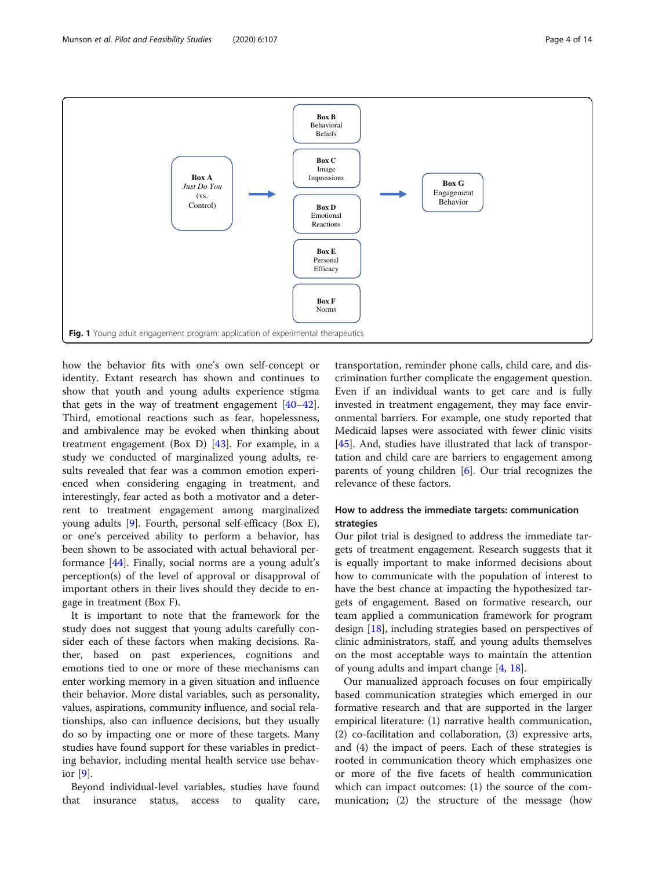<span id="page-4-0"></span>

how the behavior fits with one's own self-concept or identity. Extant research has shown and continues to show that youth and young adults experience stigma that gets in the way of treatment engagement  $[40-42]$  $[40-42]$  $[40-42]$  $[40-42]$  $[40-42]$ . Third, emotional reactions such as fear, hopelessness, and ambivalence may be evoked when thinking about treatment engagement (Box D) [[43](#page-14-0)]. For example, in a study we conducted of marginalized young adults, results revealed that fear was a common emotion experienced when considering engaging in treatment, and interestingly, fear acted as both a motivator and a deterrent to treatment engagement among marginalized young adults [[9\]](#page-13-0). Fourth, personal self-efficacy (Box E), or one's perceived ability to perform a behavior, has been shown to be associated with actual behavioral performance [\[44\]](#page-14-0). Finally, social norms are a young adult's perception(s) of the level of approval or disapproval of important others in their lives should they decide to engage in treatment (Box F).

It is important to note that the framework for the study does not suggest that young adults carefully consider each of these factors when making decisions. Rather, based on past experiences, cognitions and emotions tied to one or more of these mechanisms can enter working memory in a given situation and influence their behavior. More distal variables, such as personality, values, aspirations, community influence, and social relationships, also can influence decisions, but they usually do so by impacting one or more of these targets. Many studies have found support for these variables in predicting behavior, including mental health service use behavior [\[9](#page-13-0)].

Beyond individual-level variables, studies have found that insurance status, access to quality care,

transportation, reminder phone calls, child care, and discrimination further complicate the engagement question. Even if an individual wants to get care and is fully invested in treatment engagement, they may face environmental barriers. For example, one study reported that Medicaid lapses were associated with fewer clinic visits [[45\]](#page-14-0). And, studies have illustrated that lack of transportation and child care are barriers to engagement among parents of young children  $[6]$ . Our trial recognizes the relevance of these factors.

# How to address the immediate targets: communication strategies

Our pilot trial is designed to address the immediate targets of treatment engagement. Research suggests that it is equally important to make informed decisions about how to communicate with the population of interest to have the best chance at impacting the hypothesized targets of engagement. Based on formative research, our team applied a communication framework for program design [\[18\]](#page-13-0), including strategies based on perspectives of clinic administrators, staff, and young adults themselves on the most acceptable ways to maintain the attention of young adults and impart change [[4,](#page-13-0) [18\]](#page-13-0).

Our manualized approach focuses on four empirically based communication strategies which emerged in our formative research and that are supported in the larger empirical literature: (1) narrative health communication, (2) co-facilitation and collaboration, (3) expressive arts, and (4) the impact of peers. Each of these strategies is rooted in communication theory which emphasizes one or more of the five facets of health communication which can impact outcomes: (1) the source of the communication; (2) the structure of the message (how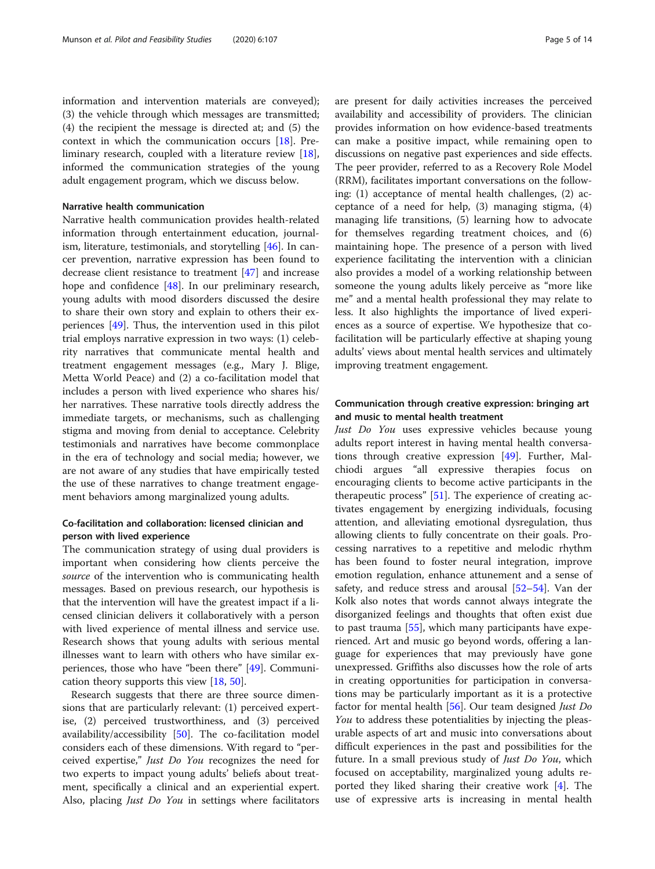information and intervention materials are conveyed); (3) the vehicle through which messages are transmitted; (4) the recipient the message is directed at; and (5) the context in which the communication occurs [[18\]](#page-13-0). Preliminary research, coupled with a literature review [\[18](#page-13-0)], informed the communication strategies of the young adult engagement program, which we discuss below.

#### Narrative health communication

Narrative health communication provides health-related information through entertainment education, journalism, literature, testimonials, and storytelling [[46\]](#page-14-0). In cancer prevention, narrative expression has been found to decrease client resistance to treatment [[47](#page-14-0)] and increase hope and confidence [\[48\]](#page-14-0). In our preliminary research, young adults with mood disorders discussed the desire to share their own story and explain to others their experiences [\[49\]](#page-14-0). Thus, the intervention used in this pilot trial employs narrative expression in two ways: (1) celebrity narratives that communicate mental health and treatment engagement messages (e.g., Mary J. Blige, Metta World Peace) and (2) a co-facilitation model that includes a person with lived experience who shares his/ her narratives. These narrative tools directly address the immediate targets, or mechanisms, such as challenging stigma and moving from denial to acceptance. Celebrity testimonials and narratives have become commonplace in the era of technology and social media; however, we are not aware of any studies that have empirically tested the use of these narratives to change treatment engagement behaviors among marginalized young adults.

# Co-facilitation and collaboration: licensed clinician and person with lived experience

The communication strategy of using dual providers is important when considering how clients perceive the source of the intervention who is communicating health messages. Based on previous research, our hypothesis is that the intervention will have the greatest impact if a licensed clinician delivers it collaboratively with a person with lived experience of mental illness and service use. Research shows that young adults with serious mental illnesses want to learn with others who have similar experiences, those who have "been there" [[49\]](#page-14-0). Communication theory supports this view [\[18,](#page-13-0) [50\]](#page-14-0).

Research suggests that there are three source dimensions that are particularly relevant: (1) perceived expertise, (2) perceived trustworthiness, and (3) perceived availability/accessibility [\[50](#page-14-0)]. The co-facilitation model considers each of these dimensions. With regard to "perceived expertise," Just Do You recognizes the need for two experts to impact young adults' beliefs about treatment, specifically a clinical and an experiential expert. Also, placing Just Do You in settings where facilitators are present for daily activities increases the perceived availability and accessibility of providers. The clinician provides information on how evidence-based treatments can make a positive impact, while remaining open to discussions on negative past experiences and side effects. The peer provider, referred to as a Recovery Role Model (RRM), facilitates important conversations on the following: (1) acceptance of mental health challenges, (2) acceptance of a need for help, (3) managing stigma, (4) managing life transitions, (5) learning how to advocate for themselves regarding treatment choices, and (6) maintaining hope. The presence of a person with lived experience facilitating the intervention with a clinician also provides a model of a working relationship between someone the young adults likely perceive as "more like me" and a mental health professional they may relate to less. It also highlights the importance of lived experiences as a source of expertise. We hypothesize that cofacilitation will be particularly effective at shaping young adults' views about mental health services and ultimately improving treatment engagement.

# Communication through creative expression: bringing art and music to mental health treatment

Just Do You uses expressive vehicles because young adults report interest in having mental health conversations through creative expression [\[49\]](#page-14-0). Further, Malchiodi argues "all expressive therapies focus on encouraging clients to become active participants in the therapeutic process" [\[51](#page-14-0)]. The experience of creating activates engagement by energizing individuals, focusing attention, and alleviating emotional dysregulation, thus allowing clients to fully concentrate on their goals. Processing narratives to a repetitive and melodic rhythm has been found to foster neural integration, improve emotion regulation, enhance attunement and a sense of safety, and reduce stress and arousal [[52](#page-14-0)–[54\]](#page-14-0). Van der Kolk also notes that words cannot always integrate the disorganized feelings and thoughts that often exist due to past trauma [[55](#page-14-0)], which many participants have experienced. Art and music go beyond words, offering a language for experiences that may previously have gone unexpressed. Griffiths also discusses how the role of arts in creating opportunities for participation in conversations may be particularly important as it is a protective factor for mental health [[56\]](#page-14-0). Our team designed Just Do You to address these potentialities by injecting the pleasurable aspects of art and music into conversations about difficult experiences in the past and possibilities for the future. In a small previous study of Just Do You, which focused on acceptability, marginalized young adults reported they liked sharing their creative work [\[4](#page-13-0)]. The use of expressive arts is increasing in mental health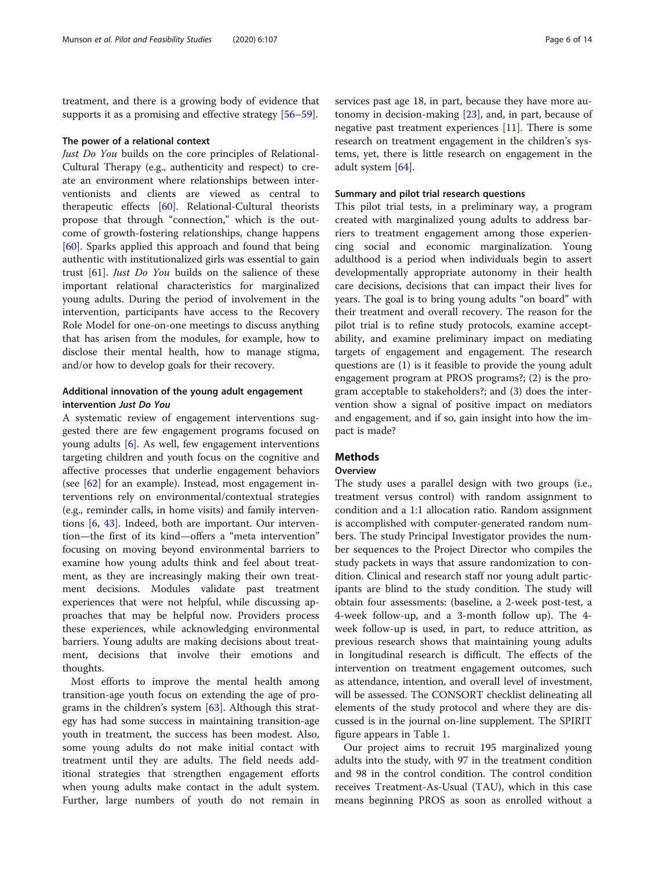treatment, and there is a growing body of evidence that supports it as a promising and effective strategy [\[56](#page-14-0)–[59](#page-14-0)].

#### The power of a relational context

Just Do You builds on the core principles of Relational-Cultural Therapy (e.g., authenticity and respect) to create an environment where relationships between interventionists and clients are viewed as central to therapeutic effects [\[60\]](#page-14-0). Relational-Cultural theorists propose that through "connection," which is the outcome of growth-fostering relationships, change happens [[60\]](#page-14-0). Sparks applied this approach and found that being authentic with institutionalized girls was essential to gain trust  $[61]$  $[61]$  $[61]$ . Just Do You builds on the salience of these important relational characteristics for marginalized young adults. During the period of involvement in the intervention, participants have access to the Recovery Role Model for one-on-one meetings to discuss anything that has arisen from the modules, for example, how to disclose their mental health, how to manage stigma, and/or how to develop goals for their recovery.

# Additional innovation of the young adult engagement intervention Just Do You

A systematic review of engagement interventions suggested there are few engagement programs focused on young adults [\[6](#page-13-0)]. As well, few engagement interventions targeting children and youth focus on the cognitive and affective processes that underlie engagement behaviors (see  $[62]$  $[62]$  for an example). Instead, most engagement interventions rely on environmental/contextual strategies (e.g., reminder calls, in home visits) and family interventions [[6,](#page-13-0) [43](#page-14-0)]. Indeed, both are important. Our intervention—the first of its kind—offers a "meta intervention" focusing on moving beyond environmental barriers to examine how young adults think and feel about treatment, as they are increasingly making their own treatment decisions. Modules validate past treatment experiences that were not helpful, while discussing approaches that may be helpful now. Providers process these experiences, while acknowledging environmental barriers. Young adults are making decisions about treatment, decisions that involve their emotions and thoughts.

Most efforts to improve the mental health among transition-age youth focus on extending the age of programs in the children's system [[63\]](#page-14-0). Although this strategy has had some success in maintaining transition-age youth in treatment, the success has been modest. Also, some young adults do not make initial contact with treatment until they are adults. The field needs additional strategies that strengthen engagement efforts when young adults make contact in the adult system. Further, large numbers of youth do not remain in services past age 18, in part, because they have more autonomy in decision-making [[23\]](#page-13-0), and, in part, because of negative past treatment experiences [\[11](#page-13-0)]. There is some research on treatment engagement in the children's systems, yet, there is little research on engagement in the adult system [\[64\]](#page-14-0).

### Summary and pilot trial research questions

This pilot trial tests, in a preliminary way, a program created with marginalized young adults to address barriers to treatment engagement among those experiencing social and economic marginalization. Young adulthood is a period when individuals begin to assert developmentally appropriate autonomy in their health care decisions, decisions that can impact their lives for years. The goal is to bring young adults "on board" with their treatment and overall recovery. The reason for the pilot trial is to refine study protocols, examine acceptability, and examine preliminary impact on mediating targets of engagement and engagement. The research questions are (1) is it feasible to provide the young adult engagement program at PROS programs?; (2) is the program acceptable to stakeholders?; and (3) does the intervention show a signal of positive impact on mediators and engagement, and if so, gain insight into how the impact is made?

# Methods

# **Overview**

The study uses a parallel design with two groups (i.e., treatment versus control) with random assignment to condition and a 1:1 allocation ratio. Random assignment is accomplished with computer-generated random numbers. The study Principal Investigator provides the number sequences to the Project Director who compiles the study packets in ways that assure randomization to condition. Clinical and research staff nor young adult participants are blind to the study condition. The study will obtain four assessments: (baseline, a 2-week post-test, a 4-week follow-up, and a 3-month follow up). The 4 week follow-up is used, in part, to reduce attrition, as previous research shows that maintaining young adults in longitudinal research is difficult. The effects of the intervention on treatment engagement outcomes, such as attendance, intention, and overall level of investment, will be assessed. The CONSORT checklist delineating all elements of the study protocol and where they are discussed is in the journal on-line supplement. The SPIRIT figure appears in Table [1.](#page-7-0)

Our project aims to recruit 195 marginalized young adults into the study, with 97 in the treatment condition and 98 in the control condition. The control condition receives Treatment-As-Usual (TAU), which in this case means beginning PROS as soon as enrolled without a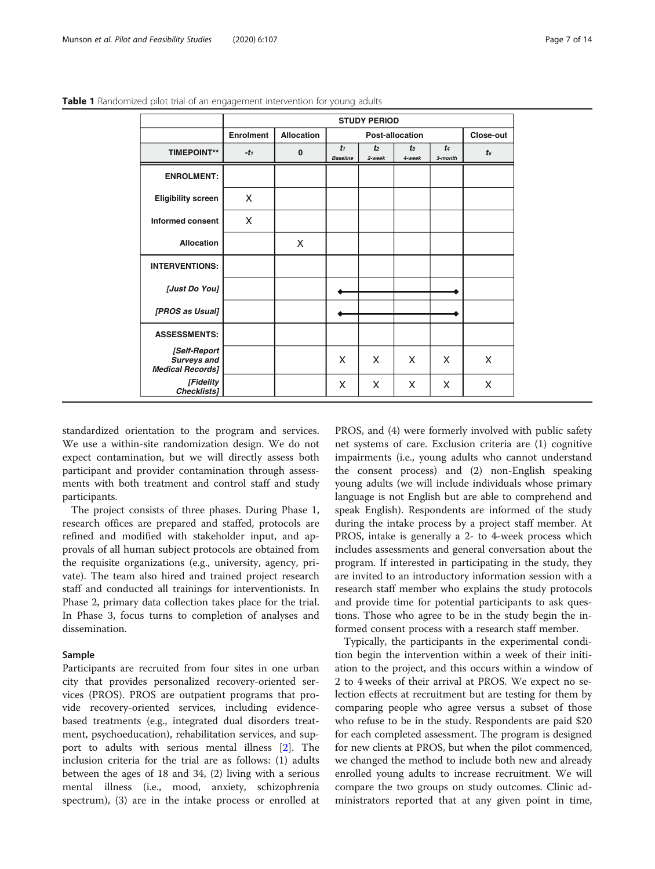|                                                                | <b>STUDY PERIOD</b> |                   |                          |                          |                 |                    |         |
|----------------------------------------------------------------|---------------------|-------------------|--------------------------|--------------------------|-----------------|--------------------|---------|
|                                                                | <b>Enrolment</b>    | <b>Allocation</b> | <b>Post-allocation</b>   |                          |                 | Close-out          |         |
| <b>TIMEPOINT**</b>                                             | $-t_1$              | $\bf{0}$          | $t_1$<br><b>Baseline</b> | t <sub>2</sub><br>2-week | $t_3$<br>4-week | $t_{4}$<br>3-month | $t_{x}$ |
| <b>ENROLMENT:</b>                                              |                     |                   |                          |                          |                 |                    |         |
| <b>Eligibility screen</b>                                      | X                   |                   |                          |                          |                 |                    |         |
| <b>Informed consent</b>                                        | X                   |                   |                          |                          |                 |                    |         |
| <b>Allocation</b>                                              |                     | X.                |                          |                          |                 |                    |         |
| <b>INTERVENTIONS:</b>                                          |                     |                   |                          |                          |                 |                    |         |
| [Just Do You]                                                  |                     |                   |                          |                          |                 |                    |         |
| [PROS as Usual]                                                |                     |                   |                          |                          |                 |                    |         |
| <b>ASSESSMENTS:</b>                                            |                     |                   |                          |                          |                 |                    |         |
| [Self-Report<br><b>Surveys and</b><br><b>Medical Records</b> ] |                     |                   | X                        | X                        | X               | X                  | X       |
| <b>[Fidelity</b><br>Checklists]                                |                     |                   | X                        | X                        | X               | X                  | X       |

<span id="page-7-0"></span>Table 1 Randomized pilot trial of an engagement intervention for young adults

standardized orientation to the program and services. We use a within-site randomization design. We do not expect contamination, but we will directly assess both participant and provider contamination through assessments with both treatment and control staff and study participants.

The project consists of three phases. During Phase 1, research offices are prepared and staffed, protocols are refined and modified with stakeholder input, and approvals of all human subject protocols are obtained from the requisite organizations (e.g., university, agency, private). The team also hired and trained project research staff and conducted all trainings for interventionists. In Phase 2, primary data collection takes place for the trial. In Phase 3, focus turns to completion of analyses and dissemination.

## Sample

Participants are recruited from four sites in one urban city that provides personalized recovery-oriented services (PROS). PROS are outpatient programs that provide recovery-oriented services, including evidencebased treatments (e.g., integrated dual disorders treatment, psychoeducation), rehabilitation services, and support to adults with serious mental illness [\[2](#page-13-0)]. The inclusion criteria for the trial are as follows: (1) adults between the ages of 18 and 34, (2) living with a serious mental illness (i.e., mood, anxiety, schizophrenia spectrum), (3) are in the intake process or enrolled at

PROS, and (4) were formerly involved with public safety net systems of care. Exclusion criteria are (1) cognitive impairments (i.e., young adults who cannot understand the consent process) and (2) non-English speaking young adults (we will include individuals whose primary language is not English but are able to comprehend and speak English). Respondents are informed of the study during the intake process by a project staff member. At PROS, intake is generally a 2- to 4-week process which includes assessments and general conversation about the program. If interested in participating in the study, they are invited to an introductory information session with a research staff member who explains the study protocols and provide time for potential participants to ask questions. Those who agree to be in the study begin the informed consent process with a research staff member.

Typically, the participants in the experimental condition begin the intervention within a week of their initiation to the project, and this occurs within a window of 2 to 4 weeks of their arrival at PROS. We expect no selection effects at recruitment but are testing for them by comparing people who agree versus a subset of those who refuse to be in the study. Respondents are paid \$20 for each completed assessment. The program is designed for new clients at PROS, but when the pilot commenced, we changed the method to include both new and already enrolled young adults to increase recruitment. We will compare the two groups on study outcomes. Clinic administrators reported that at any given point in time,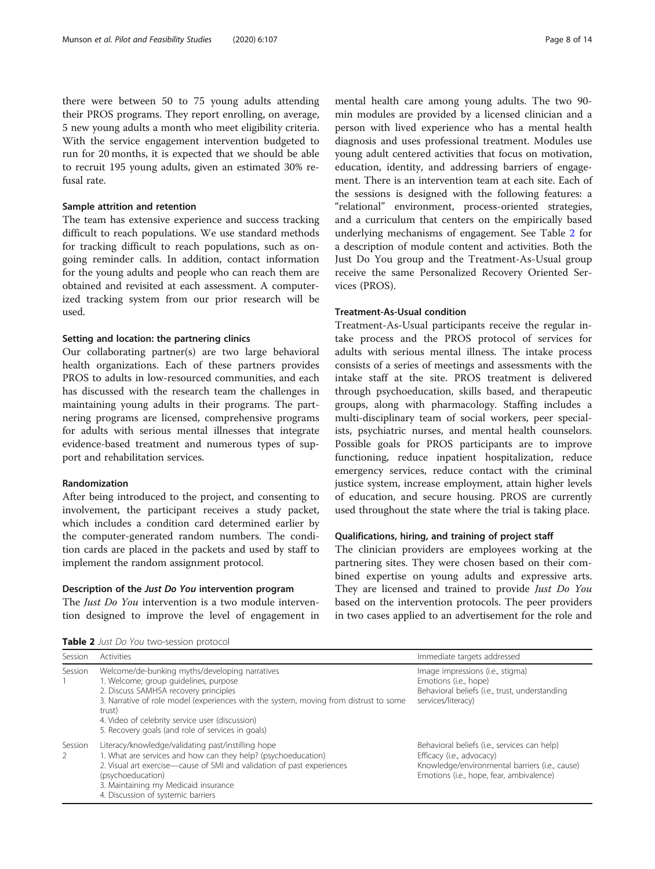there were between 50 to 75 young adults attending their PROS programs. They report enrolling, on average, 5 new young adults a month who meet eligibility criteria. With the service engagement intervention budgeted to run for 20 months, it is expected that we should be able to recruit 195 young adults, given an estimated 30% refusal rate.

#### Sample attrition and retention

The team has extensive experience and success tracking difficult to reach populations. We use standard methods for tracking difficult to reach populations, such as ongoing reminder calls. In addition, contact information for the young adults and people who can reach them are obtained and revisited at each assessment. A computerized tracking system from our prior research will be used.

#### Setting and location: the partnering clinics

Our collaborating partner(s) are two large behavioral health organizations. Each of these partners provides PROS to adults in low-resourced communities, and each has discussed with the research team the challenges in maintaining young adults in their programs. The partnering programs are licensed, comprehensive programs for adults with serious mental illnesses that integrate evidence-based treatment and numerous types of support and rehabilitation services.

#### Randomization

After being introduced to the project, and consenting to involvement, the participant receives a study packet, which includes a condition card determined earlier by the computer-generated random numbers. The condition cards are placed in the packets and used by staff to implement the random assignment protocol.

### Description of the Just Do You intervention program

The *Just Do You* intervention is a two module intervention designed to improve the level of engagement in mental health care among young adults. The two 90 min modules are provided by a licensed clinician and a person with lived experience who has a mental health diagnosis and uses professional treatment. Modules use young adult centered activities that focus on motivation, education, identity, and addressing barriers of engagement. There is an intervention team at each site. Each of the sessions is designed with the following features: a "relational" environment, process-oriented strategies, and a curriculum that centers on the empirically based underlying mechanisms of engagement. See Table 2 for a description of module content and activities. Both the Just Do You group and the Treatment-As-Usual group receive the same Personalized Recovery Oriented Services (PROS).

#### Treatment-As-Usual condition

Treatment-As-Usual participants receive the regular intake process and the PROS protocol of services for adults with serious mental illness. The intake process consists of a series of meetings and assessments with the intake staff at the site. PROS treatment is delivered through psychoeducation, skills based, and therapeutic groups, along with pharmacology. Staffing includes a multi-disciplinary team of social workers, peer specialists, psychiatric nurses, and mental health counselors. Possible goals for PROS participants are to improve functioning, reduce inpatient hospitalization, reduce emergency services, reduce contact with the criminal justice system, increase employment, attain higher levels of education, and secure housing. PROS are currently used throughout the state where the trial is taking place.

#### Qualifications, hiring, and training of project staff

The clinician providers are employees working at the partnering sites. They were chosen based on their combined expertise on young adults and expressive arts. They are licensed and trained to provide Just Do You based on the intervention protocols. The peer providers in two cases applied to an advertisement for the role and

| Table 2 Just Do You two-session protocol |  |  |  |  |  |  |  |
|------------------------------------------|--|--|--|--|--|--|--|
|------------------------------------------|--|--|--|--|--|--|--|

| Session                   | Activities                                                                                                                                                                                                                                                                                                                                  | Immediate targets addressed                                                                                                                                             |
|---------------------------|---------------------------------------------------------------------------------------------------------------------------------------------------------------------------------------------------------------------------------------------------------------------------------------------------------------------------------------------|-------------------------------------------------------------------------------------------------------------------------------------------------------------------------|
| Session                   | Welcome/de-bunking myths/developing narratives<br>1. Welcome; group guidelines, purpose<br>2. Discuss SAMHSA recovery principles<br>3. Narrative of role model (experiences with the system, moving from distrust to some<br>trust)<br>4. Video of celebrity service user (discussion)<br>5. Recovery goals (and role of services in goals) | Image impressions (i.e., stigma)<br>Emotions (i.e., hope)<br>Behavioral beliefs (i.e., trust, understanding<br>services/literacy)                                       |
| Session<br>$\overline{2}$ | Literacy/knowledge/validating past/instilling hope<br>1. What are services and how can they help? (psychoeducation)<br>2. Visual art exercise—cause of SMI and validation of past experiences<br>(psychoeducation)<br>3. Maintaining my Medicaid insurance<br>4. Discussion of systemic barriers                                            | Behavioral beliefs (i.e., services can help)<br>Efficacy (i.e., advocacy)<br>Knowledge/environmental barriers (i.e., cause)<br>Emotions (i.e., hope, fear, ambivalence) |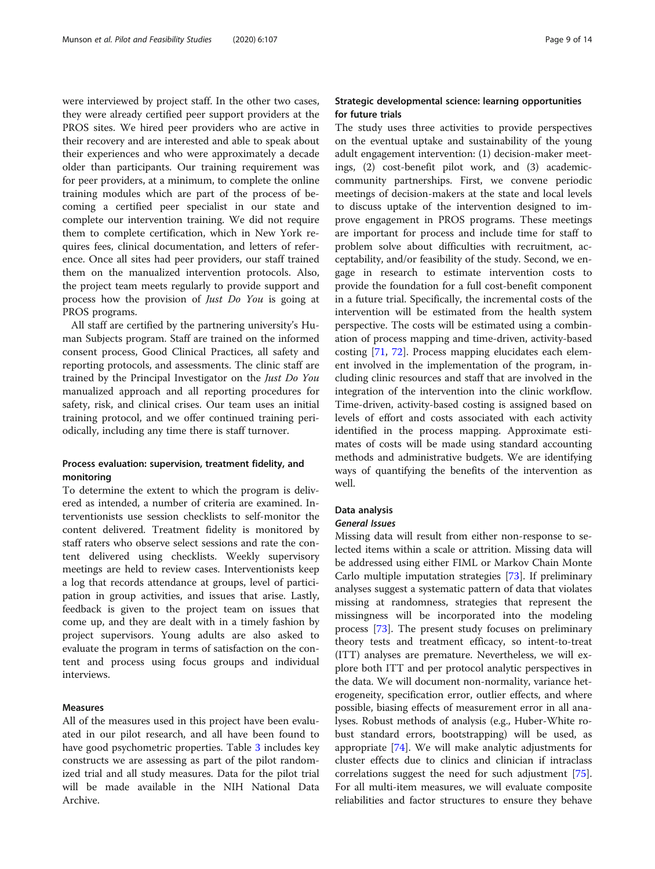were interviewed by project staff. In the other two cases, they were already certified peer support providers at the PROS sites. We hired peer providers who are active in their recovery and are interested and able to speak about their experiences and who were approximately a decade older than participants. Our training requirement was for peer providers, at a minimum, to complete the online training modules which are part of the process of becoming a certified peer specialist in our state and complete our intervention training. We did not require them to complete certification, which in New York requires fees, clinical documentation, and letters of reference. Once all sites had peer providers, our staff trained them on the manualized intervention protocols. Also, the project team meets regularly to provide support and process how the provision of Just Do You is going at PROS programs.

All staff are certified by the partnering university's Human Subjects program. Staff are trained on the informed consent process, Good Clinical Practices, all safety and reporting protocols, and assessments. The clinic staff are trained by the Principal Investigator on the Just Do You manualized approach and all reporting procedures for safety, risk, and clinical crises. Our team uses an initial training protocol, and we offer continued training periodically, including any time there is staff turnover.

# Process evaluation: supervision, treatment fidelity, and monitoring

To determine the extent to which the program is delivered as intended, a number of criteria are examined. Interventionists use session checklists to self-monitor the content delivered. Treatment fidelity is monitored by staff raters who observe select sessions and rate the content delivered using checklists. Weekly supervisory meetings are held to review cases. Interventionists keep a log that records attendance at groups, level of participation in group activities, and issues that arise. Lastly, feedback is given to the project team on issues that come up, and they are dealt with in a timely fashion by project supervisors. Young adults are also asked to evaluate the program in terms of satisfaction on the content and process using focus groups and individual interviews.

#### Measures

All of the measures used in this project have been evaluated in our pilot research, and all have been found to have good psychometric properties. Table [3](#page-10-0) includes key constructs we are assessing as part of the pilot randomized trial and all study measures. Data for the pilot trial will be made available in the NIH National Data Archive.

# Strategic developmental science: learning opportunities for future trials

The study uses three activities to provide perspectives on the eventual uptake and sustainability of the young adult engagement intervention: (1) decision-maker meetings, (2) cost-benefit pilot work, and (3) academiccommunity partnerships. First, we convene periodic meetings of decision-makers at the state and local levels to discuss uptake of the intervention designed to improve engagement in PROS programs. These meetings are important for process and include time for staff to problem solve about difficulties with recruitment, acceptability, and/or feasibility of the study. Second, we engage in research to estimate intervention costs to provide the foundation for a full cost-benefit component in a future trial. Specifically, the incremental costs of the intervention will be estimated from the health system perspective. The costs will be estimated using a combination of process mapping and time-driven, activity-based costing [[71,](#page-14-0) [72](#page-14-0)]. Process mapping elucidates each element involved in the implementation of the program, including clinic resources and staff that are involved in the integration of the intervention into the clinic workflow. Time-driven, activity-based costing is assigned based on levels of effort and costs associated with each activity identified in the process mapping. Approximate estimates of costs will be made using standard accounting methods and administrative budgets. We are identifying ways of quantifying the benefits of the intervention as well.

# Data analysis

## General Issues

Missing data will result from either non-response to selected items within a scale or attrition. Missing data will be addressed using either FIML or Markov Chain Monte Carlo multiple imputation strategies [[73](#page-14-0)]. If preliminary analyses suggest a systematic pattern of data that violates missing at randomness, strategies that represent the missingness will be incorporated into the modeling process [[73](#page-14-0)]. The present study focuses on preliminary theory tests and treatment efficacy, so intent-to-treat (ITT) analyses are premature. Nevertheless, we will explore both ITT and per protocol analytic perspectives in the data. We will document non-normality, variance heterogeneity, specification error, outlier effects, and where possible, biasing effects of measurement error in all analyses. Robust methods of analysis (e.g., Huber-White robust standard errors, bootstrapping) will be used, as appropriate [[74](#page-14-0)]. We will make analytic adjustments for cluster effects due to clinics and clinician if intraclass correlations suggest the need for such adjustment [\[75](#page-14-0)]. For all multi-item measures, we will evaluate composite reliabilities and factor structures to ensure they behave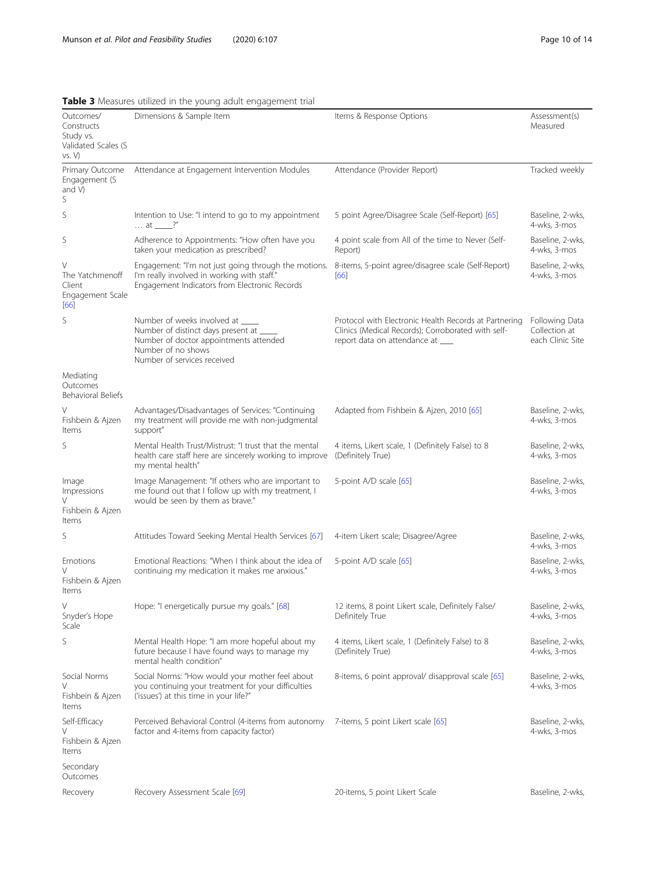# <span id="page-10-0"></span>Table 3 Measures utilized in the young adult engagement trial

| Outcomes/<br>Constructs<br>Study vs.<br>Validated Scales (S<br>vs. V) | Dimensions & Sample Item                                                                                                                                               | Items & Response Options                                                                                                                        | Assessment(s)<br>Measured                           |
|-----------------------------------------------------------------------|------------------------------------------------------------------------------------------------------------------------------------------------------------------------|-------------------------------------------------------------------------------------------------------------------------------------------------|-----------------------------------------------------|
| Primary Outcome<br>Engagement (S<br>and $V$ )<br>S                    | Attendance at Engagement Intervention Modules                                                                                                                          | Attendance (Provider Report)                                                                                                                    | Tracked weekly                                      |
| S                                                                     | Intention to Use: "I intend to go to my appointment<br>at ____?"                                                                                                       | 5 point Agree/Disagree Scale (Self-Report) [65]                                                                                                 | Baseline, 2-wks,<br>4-wks, 3-mos                    |
| S                                                                     | Adherence to Appointments: "How often have you<br>taken your medication as prescribed?                                                                                 | 4 point scale from All of the time to Never (Self-<br>Report)                                                                                   | Baseline, 2-wks,<br>4-wks, 3-mos                    |
| V<br>The Yatchmenoff<br>Client<br>Engagement Scale<br>[66]            | Engagement: "I'm not just going through the motions.<br>I'm really involved in working with staff."<br>Engagement Indicators from Electronic Records                   | 8-items, 5-point agree/disagree scale (Self-Report)<br>[66]                                                                                     | Baseline, 2-wks,<br>4-wks, 3-mos                    |
| S                                                                     | Number of weeks involved at _____<br>Number of distinct days present at<br>Number of doctor appointments attended<br>Number of no shows<br>Number of services received | Protocol with Electronic Health Records at Partnering<br>Clinics (Medical Records); Corroborated with self-<br>report data on attendance at ___ | Following Data<br>Collection at<br>each Clinic Site |
| Mediating<br>Outcomes<br>Behavioral Beliefs                           |                                                                                                                                                                        |                                                                                                                                                 |                                                     |
| V<br>Fishbein & Ajzen<br>Items                                        | Advantages/Disadvantages of Services: "Continuing<br>my treatment will provide me with non-judgmental<br>support"                                                      | Adapted from Fishbein & Ajzen, 2010 [65]                                                                                                        | Baseline, 2-wks,<br>4-wks, 3-mos                    |
| S                                                                     | Mental Health Trust/Mistrust: "I trust that the mental<br>health care staff here are sincerely working to improve<br>my mental health"                                 | 4 items, Likert scale, 1 (Definitely False) to 8<br>(Definitely True)                                                                           | Baseline, 2-wks,<br>4-wks, 3-mos                    |
| Image<br>Impressions<br>V<br>Fishbein & Ajzen<br>Items                | Image Management: "If others who are important to<br>me found out that I follow up with my treatment, I<br>would be seen by them as brave."                            | 5-point A/D scale [65]                                                                                                                          | Baseline, 2-wks,<br>4-wks, 3-mos                    |
| S                                                                     | Attitudes Toward Seeking Mental Health Services [67]                                                                                                                   | 4-item Likert scale; Disagree/Agree                                                                                                             | Baseline, 2-wks,<br>4-wks, 3-mos                    |
| Emotions<br>Fishbein & Ajzen<br>Items                                 | Emotional Reactions: "When I think about the idea of<br>continuing my medication it makes me anxious."                                                                 | 5-point A/D scale [65]                                                                                                                          | Baseline, 2-wks,<br>4-wks, 3-mos                    |
| Snyder's Hope<br>Scale                                                | Hope: "I energetically pursue my goals." [68]                                                                                                                          | 12 items, 8 point Likert scale, Definitely False/<br>Definitely True                                                                            | Baseline, 2-wks,<br>4-wks, 3-mos                    |
| S                                                                     | Mental Health Hope: "I am more hopeful about my<br>future because I have found ways to manage my<br>mental health condition"                                           | 4 items, Likert scale, 1 (Definitely False) to 8<br>(Definitely True)                                                                           | Baseline, 2-wks,<br>4-wks, 3-mos                    |
| Social Norms<br>V<br>Fishbein & Ajzen<br>Items                        | Social Norms: "How would your mother feel about<br>you continuing your treatment for your difficulties<br>('issues') at this time in your life?"                       | 8-items, 6 point approval/ disapproval scale [65]                                                                                               | Baseline, 2-wks,<br>4-wks, 3-mos                    |
| Self-Efficacy<br>V<br>Fishbein & Ajzen<br>Items                       | Perceived Behavioral Control (4-items from autonomy<br>factor and 4-items from capacity factor)                                                                        | 7-items, 5 point Likert scale [65]                                                                                                              | Baseline, 2-wks,<br>4-wks, 3-mos                    |
| Secondary<br>Outcomes                                                 |                                                                                                                                                                        |                                                                                                                                                 |                                                     |
| Recovery                                                              | Recovery Assessment Scale [69]                                                                                                                                         | 20-items, 5 point Likert Scale                                                                                                                  | Baseline, 2-wks,                                    |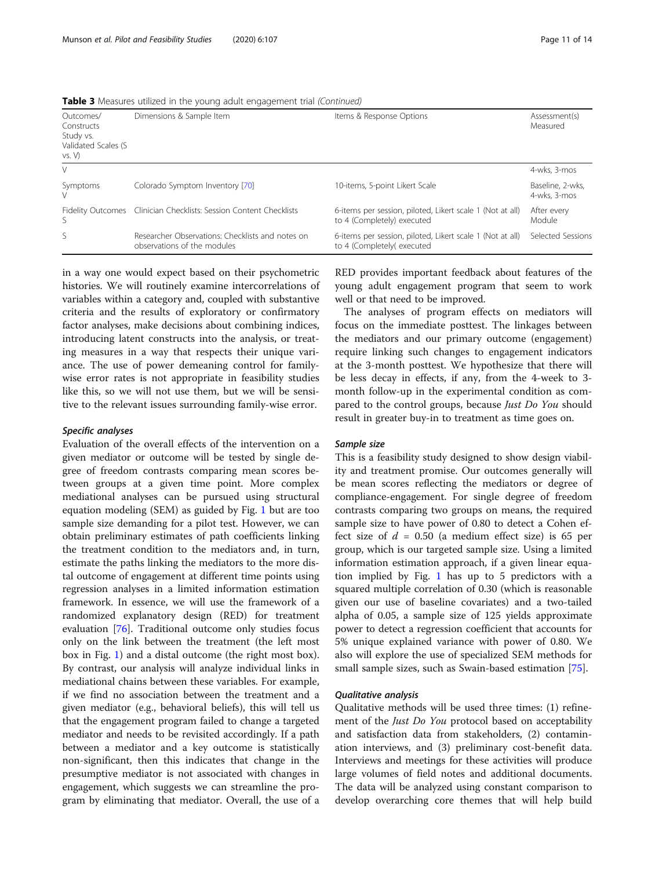Table 3 Measures utilized in the young adult engagement trial (Continued)

| Outcomes/<br>Constructs<br>Study vs.<br>Validated Scales (S<br>vs. V) | Dimensions & Sample Item                                                        | Items & Response Options                                                                | Assessment(s)<br>Measured        |
|-----------------------------------------------------------------------|---------------------------------------------------------------------------------|-----------------------------------------------------------------------------------------|----------------------------------|
| V                                                                     |                                                                                 |                                                                                         | 4-wks. 3-mos                     |
| Symptoms<br>V                                                         | Colorado Symptom Inventory [70]                                                 | 10-items, 5-point Likert Scale                                                          | Baseline, 2-wks,<br>4-wks. 3-mos |
| S.                                                                    | Fidelity Outcomes Clinician Checklists: Session Content Checklists              | 6-items per session, piloted, Likert scale 1 (Not at all)<br>to 4 (Completely) executed | After every<br>Module            |
| S                                                                     | Researcher Observations: Checklists and notes on<br>observations of the modules | 6-items per session, piloted, Likert scale 1 (Not at all)<br>to 4 (Completely) executed | Selected Sessions                |

in a way one would expect based on their psychometric histories. We will routinely examine intercorrelations of variables within a category and, coupled with substantive criteria and the results of exploratory or confirmatory factor analyses, make decisions about combining indices, introducing latent constructs into the analysis, or treating measures in a way that respects their unique variance. The use of power demeaning control for familywise error rates is not appropriate in feasibility studies like this, so we will not use them, but we will be sensitive to the relevant issues surrounding family-wise error.

#### Specific analyses

Evaluation of the overall effects of the intervention on a given mediator or outcome will be tested by single degree of freedom contrasts comparing mean scores between groups at a given time point. More complex mediational analyses can be pursued using structural equation modeling (SEM) as guided by Fig. [1](#page-4-0) but are too sample size demanding for a pilot test. However, we can obtain preliminary estimates of path coefficients linking the treatment condition to the mediators and, in turn, estimate the paths linking the mediators to the more distal outcome of engagement at different time points using regression analyses in a limited information estimation framework. In essence, we will use the framework of a randomized explanatory design (RED) for treatment evaluation [[76\]](#page-14-0). Traditional outcome only studies focus only on the link between the treatment (the left most box in Fig. [1\)](#page-4-0) and a distal outcome (the right most box). By contrast, our analysis will analyze individual links in mediational chains between these variables. For example, if we find no association between the treatment and a given mediator (e.g., behavioral beliefs), this will tell us that the engagement program failed to change a targeted mediator and needs to be revisited accordingly. If a path between a mediator and a key outcome is statistically non-significant, then this indicates that change in the presumptive mediator is not associated with changes in engagement, which suggests we can streamline the program by eliminating that mediator. Overall, the use of a RED provides important feedback about features of the young adult engagement program that seem to work well or that need to be improved.

The analyses of program effects on mediators will focus on the immediate posttest. The linkages between the mediators and our primary outcome (engagement) require linking such changes to engagement indicators at the 3-month posttest. We hypothesize that there will be less decay in effects, if any, from the 4-week to 3 month follow-up in the experimental condition as compared to the control groups, because Just Do You should result in greater buy-in to treatment as time goes on.

#### Sample size

This is a feasibility study designed to show design viability and treatment promise. Our outcomes generally will be mean scores reflecting the mediators or degree of compliance-engagement. For single degree of freedom contrasts comparing two groups on means, the required sample size to have power of 0.80 to detect a Cohen effect size of  $d = 0.50$  (a medium effect size) is 65 per group, which is our targeted sample size. Using a limited information estimation approach, if a given linear equation implied by Fig. [1](#page-4-0) has up to 5 predictors with a squared multiple correlation of 0.30 (which is reasonable given our use of baseline covariates) and a two-tailed alpha of 0.05, a sample size of 125 yields approximate power to detect a regression coefficient that accounts for 5% unique explained variance with power of 0.80. We also will explore the use of specialized SEM methods for small sample sizes, such as Swain-based estimation [[75\]](#page-14-0).

#### Qualitative analysis

Qualitative methods will be used three times: (1) refinement of the *Just Do You* protocol based on acceptability and satisfaction data from stakeholders, (2) contamination interviews, and (3) preliminary cost-benefit data. Interviews and meetings for these activities will produce large volumes of field notes and additional documents. The data will be analyzed using constant comparison to develop overarching core themes that will help build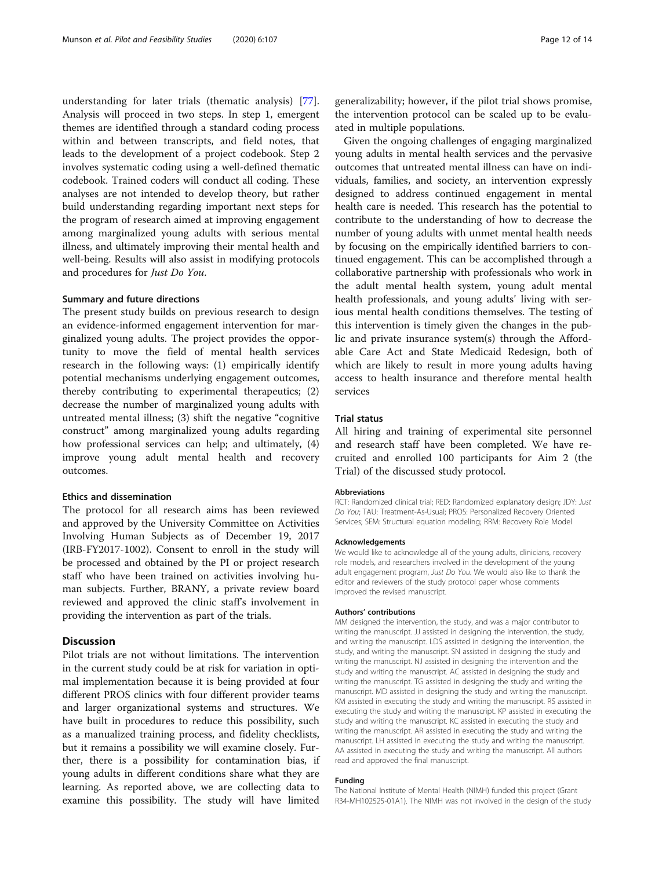understanding for later trials (thematic analysis) [\[77](#page-14-0)]. Analysis will proceed in two steps. In step 1, emergent themes are identified through a standard coding process within and between transcripts, and field notes, that leads to the development of a project codebook. Step 2 involves systematic coding using a well-defined thematic codebook. Trained coders will conduct all coding. These analyses are not intended to develop theory, but rather build understanding regarding important next steps for the program of research aimed at improving engagement among marginalized young adults with serious mental illness, and ultimately improving their mental health and well-being. Results will also assist in modifying protocols and procedures for Just Do You.

### Summary and future directions

The present study builds on previous research to design an evidence-informed engagement intervention for marginalized young adults. The project provides the opportunity to move the field of mental health services research in the following ways: (1) empirically identify potential mechanisms underlying engagement outcomes, thereby contributing to experimental therapeutics; (2) decrease the number of marginalized young adults with untreated mental illness; (3) shift the negative "cognitive construct" among marginalized young adults regarding how professional services can help; and ultimately, (4) improve young adult mental health and recovery outcomes.

# Ethics and dissemination

The protocol for all research aims has been reviewed and approved by the University Committee on Activities Involving Human Subjects as of December 19, 2017 (IRB-FY2017-1002). Consent to enroll in the study will be processed and obtained by the PI or project research staff who have been trained on activities involving human subjects. Further, BRANY, a private review board reviewed and approved the clinic staff's involvement in providing the intervention as part of the trials.

# Discussion

Pilot trials are not without limitations. The intervention in the current study could be at risk for variation in optimal implementation because it is being provided at four different PROS clinics with four different provider teams and larger organizational systems and structures. We have built in procedures to reduce this possibility, such as a manualized training process, and fidelity checklists, but it remains a possibility we will examine closely. Further, there is a possibility for contamination bias, if young adults in different conditions share what they are learning. As reported above, we are collecting data to examine this possibility. The study will have limited

generalizability; however, if the pilot trial shows promise, the intervention protocol can be scaled up to be evaluated in multiple populations.

Given the ongoing challenges of engaging marginalized young adults in mental health services and the pervasive outcomes that untreated mental illness can have on individuals, families, and society, an intervention expressly designed to address continued engagement in mental health care is needed. This research has the potential to contribute to the understanding of how to decrease the number of young adults with unmet mental health needs by focusing on the empirically identified barriers to continued engagement. This can be accomplished through a collaborative partnership with professionals who work in the adult mental health system, young adult mental health professionals, and young adults' living with serious mental health conditions themselves. The testing of this intervention is timely given the changes in the public and private insurance system(s) through the Affordable Care Act and State Medicaid Redesign, both of which are likely to result in more young adults having access to health insurance and therefore mental health services

# Trial status

All hiring and training of experimental site personnel and research staff have been completed. We have recruited and enrolled 100 participants for Aim 2 (the Trial) of the discussed study protocol.

#### Abbreviations

RCT: Randomized clinical trial; RED: Randomized explanatory design; JDY: Just Do You; TAU: Treatment-As-Usual; PROS: Personalized Recovery Oriented Services; SEM: Structural equation modeling; RRM: Recovery Role Model

#### Acknowledgements

We would like to acknowledge all of the young adults, clinicians, recovery role models, and researchers involved in the development of the young adult engagement program, Just Do You. We would also like to thank the editor and reviewers of the study protocol paper whose comments improved the revised manuscript.

#### Authors' contributions

MM designed the intervention, the study, and was a major contributor to writing the manuscript. JJ assisted in designing the intervention, the study, and writing the manuscript. LDS assisted in designing the intervention, the study, and writing the manuscript. SN assisted in designing the study and writing the manuscript. NJ assisted in designing the intervention and the study and writing the manuscript. AC assisted in designing the study and writing the manuscript. TG assisted in designing the study and writing the manuscript. MD assisted in designing the study and writing the manuscript. KM assisted in executing the study and writing the manuscript. RS assisted in executing the study and writing the manuscript. KP assisted in executing the study and writing the manuscript. KC assisted in executing the study and writing the manuscript. AR assisted in executing the study and writing the manuscript. LH assisted in executing the study and writing the manuscript. AA assisted in executing the study and writing the manuscript. All authors read and approved the final manuscript.

#### Funding

The National Institute of Mental Health (NIMH) funded this project (Grant R34-MH102525-01A1). The NIMH was not involved in the design of the study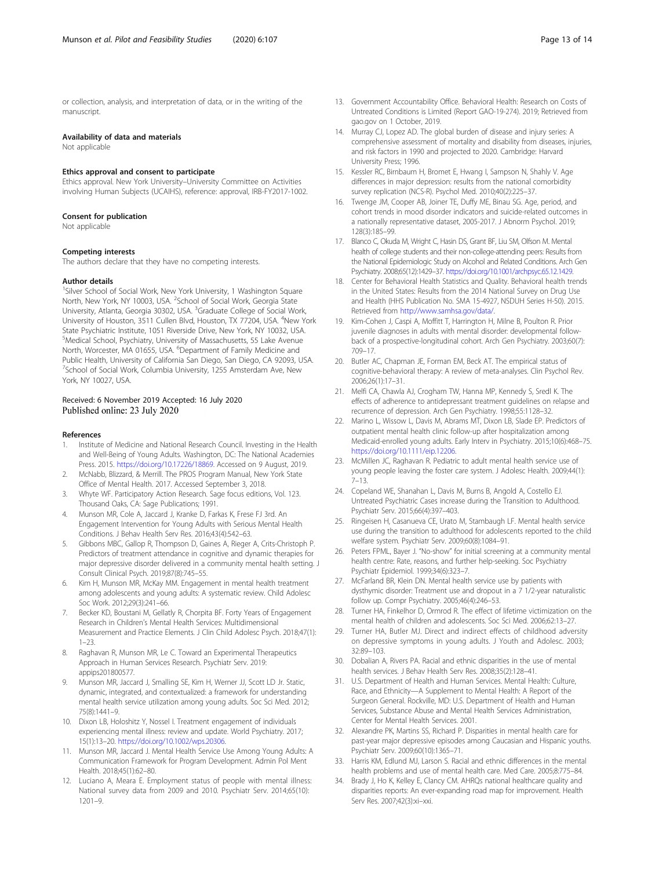<span id="page-13-0"></span>or collection, analysis, and interpretation of data, or in the writing of the manuscript.

#### Availability of data and materials

Not applicable

#### Ethics approval and consent to participate

Ethics approval. New York University–University Committee on Activities involving Human Subjects (UCAIHS), reference: approval, IRB-FY2017-1002.

#### Consent for publication

Not applicable

#### Competing interests

The authors declare that they have no competing interests.

#### Author details

<sup>1</sup>Silver School of Social Work, New York University, 1 Washington Square North, New York, NY 10003, USA. <sup>2</sup>School of Social Work, Georgia State University, Atlanta, Georgia 30302, USA. <sup>3</sup>Graduate College of Social Work, University of Houston, 3511 Cullen Blvd, Houston, TX 77204, USA. <sup>4</sup>New York State Psychiatric Institute, 1051 Riverside Drive, New York, NY 10032, USA. <sup>5</sup>Medical School, Psychiatry, University of Massachusetts, 55 Lake Avenue North, Worcester, MA 01655, USA. <sup>6</sup>Department of Family Medicine and Public Health, University of California San Diego, San Diego, CA 92093, USA. <sup>7</sup>School of Social Work, Columbia University, 1255 Amsterdam Ave, New York, NY 10027, USA.

#### Received: 6 November 2019 Accepted: 16 July 2020 Published online: 23 July 2020

#### References

- 1. Institute of Medicine and National Research Council. Investing in the Health and Well-Being of Young Adults. Washington, DC: The National Academies Press. 2015. [https://doi.org/10.17226/18869.](https://doi.org/10.17226/18869) Accessed on 9 August, 2019.
- 2. McNabb, Blizzard, & Merrill. The PROS Program Manual, New York State Office of Mental Health. 2017. Accessed September 3, 2018.
- 3. Whyte WF. Participatory Action Research. Sage focus editions, Vol. 123. Thousand Oaks, CA: Sage Publications; 1991.
- 4. Munson MR, Cole A, Jaccard J, Kranke D, Farkas K, Frese FJ 3rd. An Engagement Intervention for Young Adults with Serious Mental Health Conditions. J Behav Health Serv Res. 2016;43(4):542–63.
- Gibbons MBC, Gallop R, Thompson D, Gaines A, Rieger A, Crits-Christoph P. Predictors of treatment attendance in cognitive and dynamic therapies for major depressive disorder delivered in a community mental health setting. J Consult Clinical Psych. 2019;87(8):745–55.
- 6. Kim H, Munson MR, McKay MM. Engagement in mental health treatment among adolescents and young adults: A systematic review. Child Adolesc Soc Work. 2012;29(3):241–66.
- 7. Becker KD, Boustani M, Gellatly R, Chorpita BF. Forty Years of Engagement Research in Children's Mental Health Services: Multidimensional Measurement and Practice Elements. J Clin Child Adolesc Psych. 2018;47(1): 1–23.
- 8. Raghavan R, Munson MR, Le C. Toward an Experimental Therapeutics Approach in Human Services Research. Psychiatr Serv. 2019: appips201800577.
- 9. Munson MR, Jaccard J, Smalling SE, Kim H, Werner JJ, Scott LD Jr. Static, dynamic, integrated, and contextualized: a framework for understanding mental health service utilization among young adults. Soc Sci Med. 2012; 75(8):1441–9.
- 10. Dixon LB, Holoshitz Y, Nossel I. Treatment engagement of individuals experiencing mental illness: review and update. World Psychiatry. 2017; 15(1):13–20. <https://doi.org/10.1002/wps.20306>.
- 11. Munson MR, Jaccard J. Mental Health Service Use Among Young Adults: A Communication Framework for Program Development. Admin Pol Ment Health. 2018;45(1):62–80.
- 12. Luciano A, Meara E. Employment status of people with mental illness: National survey data from 2009 and 2010. Psychiatr Serv. 2014;65(10): 1201–9.
- 13. Government Accountability Office. Behavioral Health: Research on Costs of Untreated Conditions is Limited (Report GAO-19-274). 2019; Retrieved from gao.gov on 1 October, 2019.
- 14. Murray CJ, Lopez AD. The global burden of disease and injury series: A comprehensive assessment of mortality and disability from diseases, injuries, and risk factors in 1990 and projected to 2020. Cambridge: Harvard University Press; 1996.
- 15. Kessler RC, Birnbaum H, Bromet E, Hwang I, Sampson N, Shahly V. Age differences in major depression: results from the national comorbidity survey replication (NCS-R). Psychol Med. 2010;40(2):225–37.
- 16. Twenge JM, Cooper AB, Joiner TE, Duffy ME, Binau SG. Age, period, and cohort trends in mood disorder indicators and suicide-related outcomes in a nationally representative dataset, 2005-2017. J Abnorm Psychol. 2019; 128(3):185–99.
- 17. Blanco C, Okuda M, Wright C, Hasin DS, Grant BF, Liu SM, Olfson M. Mental health of college students and their non-college-attending peers: Results from the National Epidemiologic Study on Alcohol and Related Conditions. Arch Gen Psychiatry. 2008;65(12):1429–37. <https://doi.org/10.1001/archpsyc.65.12.1429>.
- 18. Center for Behavioral Health Statistics and Quality. Behavioral health trends in the United States: Results from the 2014 National Survey on Drug Use and Health (HHS Publication No. SMA 15-4927, NSDUH Series H-50). 2015. Retrieved from <http://www.samhsa.gov/data/>.
- 19. Kim-Cohen J, Caspi A, Moffitt T, Harrington H, Milne B, Poulton R. Prior juvenile diagnoses in adults with mental disorder: developmental followback of a prospective-longitudinal cohort. Arch Gen Psychiatry. 2003;60(7): 709–17.
- 20. Butler AC, Chapman JE, Forman EM, Beck AT. The empirical status of cognitive-behavioral therapy: A review of meta-analyses. Clin Psychol Rev. 2006;26(1):17–31.
- 21. Melfi CA, Chawla AJ, Crogham TW, Hanna MP, Kennedy S, Sredl K. The effects of adherence to antidepressant treatment guidelines on relapse and recurrence of depression. Arch Gen Psychiatry. 1998;55:1128–32.
- 22. Marino L, Wissow L, Davis M, Abrams MT, Dixon LB, Slade EP. Predictors of outpatient mental health clinic follow-up after hospitalization among Medicaid-enrolled young adults. Early Interv in Psychiatry. 2015;10(6):468–75. [https://doi.org/10.1111/eip.12206.](https://doi.org/10.1111/eip.12206)
- 23. McMillen JC, Raghavan R. Pediatric to adult mental health service use of young people leaving the foster care system. J Adolesc Health. 2009;44(1): 7–13.
- 24. Copeland WE, Shanahan L, Davis M, Burns B, Angold A, Costello EJ. Untreated Psychiatric Cases increase during the Transition to Adulthood. Psychiatr Serv. 2015;66(4):397–403.
- 25. Ringeisen H, Casanueva CE, Urato M, Stambaugh LF. Mental health service use during the transition to adulthood for adolescents reported to the child welfare system. Psychiatr Serv. 2009;60(8):1084–91.
- 26. Peters FPML, Bayer J. "No-show" for initial screening at a community mental health centre: Rate, reasons, and further help-seeking. Soc Psychiatry Psychiatr Epidemiol. 1999;34(6):323–7.
- 27. McFarland BR, Klein DN. Mental health service use by patients with dysthymic disorder: Treatment use and dropout in a 7 1/2-year naturalistic follow up. Compr Psychiatry. 2005;46(4):246–53.
- 28. Turner HA, Finkelhor D, Ormrod R. The effect of lifetime victimization on the mental health of children and adolescents. Soc Sci Med. 2006;62:13–27.
- Turner HA, Butler MJ. Direct and indirect effects of childhood adversity on depressive symptoms in young adults. J Youth and Adolesc. 2003; 32:89–103.
- 30. Dobalian A, Rivers PA. Racial and ethnic disparities in the use of mental health services. J Behav Health Serv Res. 2008;35(2):128–41.
- 31. U.S. Department of Health and Human Services. Mental Health: Culture, Race, and Ethnicity—A Supplement to Mental Health: A Report of the Surgeon General. Rockville, MD: U.S. Department of Health and Human Services, Substance Abuse and Mental Health Services Administration, Center for Mental Health Services. 2001.
- 32. Alexandre PK, Martins SS, Richard P. Disparities in mental health care for past-year major depressive episodes among Caucasian and Hispanic youths. Psychiatr Serv. 2009;60(10):1365–71.
- 33. Harris KM, Edlund MJ, Larson S. Racial and ethnic differences in the mental health problems and use of mental health care. Med Care. 2005;8:775–84.
- 34. Brady J, Ho K, Kelley E, Clancy CM. AHRQs national healthcare quality and disparities reports: An ever-expanding road map for improvement. Health Serv Res. 2007;42(3):xi–xxi.